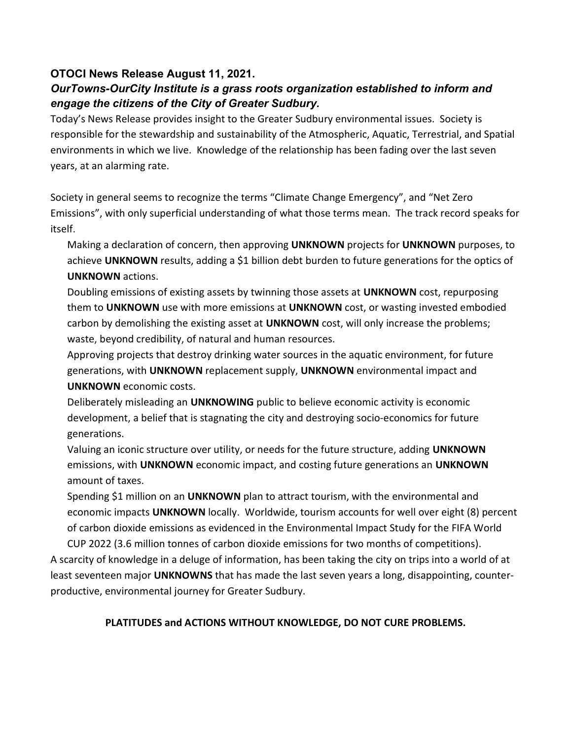## OTOCI News Release August 11, 2021.

## OurTowns-OurCity Institute is a grass roots organization established to inform and engage the citizens of the City of Greater Sudbury.

Today's News Release provides insight to the Greater Sudbury environmental issues. Society is responsible for the stewardship and sustainability of the Atmospheric, Aquatic, Terrestrial, and Spatial environments in which we live. Knowledge of the relationship has been fading over the last seven years, at an alarming rate.

Society in general seems to recognize the terms "Climate Change Emergency", and "Net Zero Emissions", with only superficial understanding of what those terms mean. The track record speaks for itself.

Making a declaration of concern, then approving UNKNOWN projects for UNKNOWN purposes, to achieve UNKNOWN results, adding a \$1 billion debt burden to future generations for the optics of UNKNOWN actions.

Doubling emissions of existing assets by twinning those assets at UNKNOWN cost, repurposing them to UNKNOWN use with more emissions at UNKNOWN cost, or wasting invested embodied carbon by demolishing the existing asset at UNKNOWN cost, will only increase the problems; waste, beyond credibility, of natural and human resources.

Approving projects that destroy drinking water sources in the aquatic environment, for future generations, with UNKNOWN replacement supply, UNKNOWN environmental impact and UNKNOWN economic costs.

Deliberately misleading an UNKNOWING public to believe economic activity is economic development, a belief that is stagnating the city and destroying socio-economics for future generations.

Valuing an iconic structure over utility, or needs for the future structure, adding UNKNOWN emissions, with UNKNOWN economic impact, and costing future generations an UNKNOWN amount of taxes.

Spending \$1 million on an UNKNOWN plan to attract tourism, with the environmental and economic impacts UNKNOWN locally. Worldwide, tourism accounts for well over eight (8) percent of carbon dioxide emissions as evidenced in the Environmental Impact Study for the FIFA World CUP 2022 (3.6 million tonnes of carbon dioxide emissions for two months of competitions).

A scarcity of knowledge in a deluge of information, has been taking the city on trips into a world of at least seventeen major UNKNOWNS that has made the last seven years a long, disappointing, counterproductive, environmental journey for Greater Sudbury.

## PLATITUDES and ACTIONS WITHOUT KNOWLEDGE, DO NOT CURE PROBLEMS.